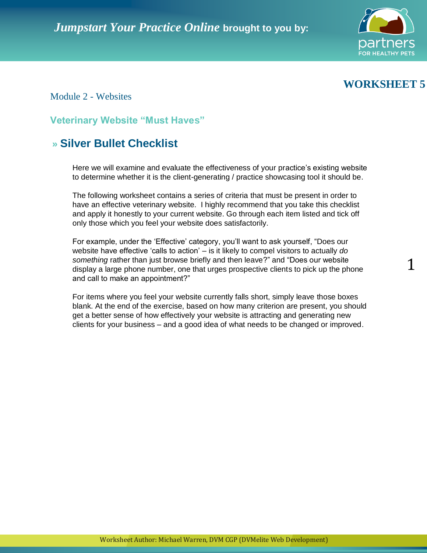



1

Module 2 - Websites

**Veterinary Website "Must Haves"** 

# **» Silver Bullet Checklist**

Here we will examine and evaluate the effectiveness of your practice's existing website to determine whether it is the client-generating / practice showcasing tool it should be.

The following worksheet contains a series of criteria that must be present in order to have an effective veterinary website. I highly recommend that you take this checklist and apply it honestly to your current website. Go through each item listed and tick off only those which you feel your website does satisfactorily.

For example, under the "Effective" category, you"ll want to ask yourself, "Does our website have effective 'calls to action' – is it likely to compel visitors to actually *do something* rather than just browse briefly and then leave?" and "Does our website display a large phone number, one that urges prospective clients to pick up the phone and call to make an appointment?"

For items where you feel your website currently falls short, simply leave those boxes blank. At the end of the exercise, based on how many criterion are present, you should get a better sense of how effectively your website is attracting and generating new clients for your business – and a good idea of what needs to be changed or improved.